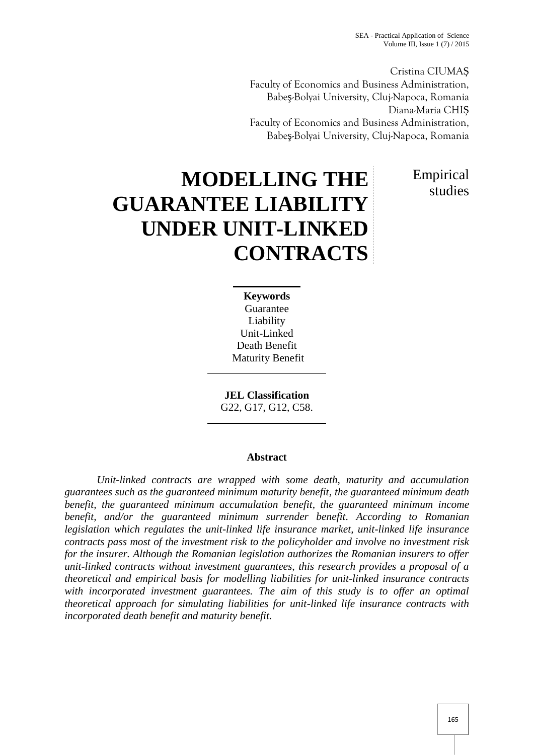SEA - Practical Application of Science Volume III, Issue  $1(7)/2015$ 

Cristina CIUMA Faculty of Economics and Business Administration, Babe -Bolyai University, Cluj-Napoca, Romania Diana-Maria CHI Faculty of Economics and Business Administration, Babe -Bolyai University, Cluj-Napoca, Romania

> Empirical studies

# **MODELLING THE GUARANTEE LIABILITY UNDER UNIT-LINKED CONTRACTS**

**Keywords** Guarantee Liability Unit-Linked Death Benefit Maturity Benefit

**JEL Classification** G22, G17, G12, C58.

## **Abstract**

*Unit-linked contracts are wrapped with some death, maturity and accumulation guarantees such as the guaranteed minimum maturity benefit, the guaranteed minimum death benefit, the guaranteed minimum accumulation benefit, the guaranteed minimum income benefit, and/or the guaranteed minimum surrender benefit. According to Romanian legislation which regulates the unit-linked life insurance market, unit-linked life insurance contracts pass most of the investment risk to the policyholder and involve no investment risk for the insurer. Although the Romanian legislation authorizes the Romanian insurers to offer unit-linked contracts without investment guarantees, this research provides a proposal of a theoretical and empirical basis for modelling liabilities for unit-linked insurance contracts with incorporated investment guarantees. The aim of this study is to offer an optimal theoretical approach for simulating liabilities for unit-linked life insurance contracts with incorporated death benefit and maturity benefit.*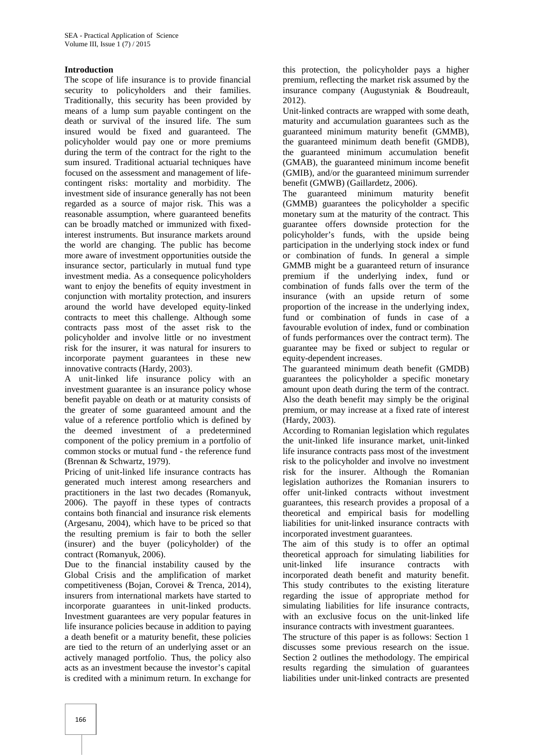#### **Introduction**

The scope of life insurance is to provide financial security to policyholders and their families. Traditionally, this security has been provided by means of a lump sum payable contingent on the death or survival of the insured life. The sum insured would be fixed and guaranteed. The policyholder would pay one or more premiums during the term of the contract for the right to the sum insured. Traditional actuarial techniques have focused on the assessment and management of life contingent risks: mortality and morbidity. The investment side of insurance generally has not been regarded as a source of major risk. This was a reasonable assumption, where guaranteed benefits can be broadly matched or immunized with fixedinterest instruments. But insurance markets around the world are changing. The public has become more aware of investment opportunities outside the insurance sector, particularly in mutual fund type investment media. As a consequence policyholders want to enjoy the benefits of equity investment in conjunction with mortality protection, and insurers around the world have developed equity-linked contracts to meet this challenge. Although some contracts pass most of the asset risk to the policyholder and involve little or no investment risk for the insurer, it was natural for insurers to incorporate payment guarantees in these new innovative contracts (Hardy, 2003).

A unit-linked life insurance policy with an investment guarantee is an insurance policy whose benefit payable on death or at maturity consists of the greater of some guaranteed amount and the value of a reference portfolio which is defined by the deemed investment of a predetermined component of the policy premium in a portfolio of common stocks or mutual fund - the reference fund (Brennan & Schwartz, 1979).

Pricing of unit-linked life insurance contracts has generated much interest among researchers and practitioners in the last two decades (Romanyuk, 2006). The payoff in these types of contracts contains both financial and insurance risk elements (Argesanu, 2004), which have to be priced so that the resulting premium is fair to both the seller (insurer) and the buyer (policyholder) of the contract (Romanyuk, 2006).

Due to the financial instability caused by the Global Crisis and the amplification of market competitiveness (Bojan, Corovei & Trenca, 2014), insurers from international markets have started to incorporate guarantees in unit-linked products. Investment guarantees are very popular features in life insurance policies because in addition to paying a death benefit or a maturity benefit, these policies are tied to the return of an underlying asset or an actively managed portfolio. Thus, the policy also acts as an investment because the investor's capital is credited with a minimum return. In exchange for this protection, the policyholder pays a higher premium, reflecting the market risk assumed by the insurance company (Augustyniak & Boudreault, 2012).

Unit-linked contracts are wrapped with some death, maturity and accumulation guarantees such as the guaranteed minimum maturity benefit (GMMB), the guaranteed minimum death benefit (GMDB), the guaranteed minimum accumulation benefit (GMAB), the guaranteed minimum income benefit (GMIB), and/or the guaranteed minimum surrender benefit (GMWB) (Gaillardetz, 2006).

The guaranteed minimum maturity benefit (GMMB) guarantees the policyholder a specific monetary sum at the maturity of the contract. This guarantee offers downside protection for the policyholder's funds, with the upside being participation in the underlying stock index or fund or combination of funds. In general a simple GMMB might be a guaranteed return of insurance premium if the underlying index, fund or combination of funds falls over the term of the insurance (with an upside return of some proportion of the increase in the underlying index, fund or combination of funds in case of a favourable evolution of index, fund or combination of funds performances over the contract term). The guarantee may be fixed or subject to regular or equity-dependent increases.

The guaranteed minimum death benefit (GMDB) guarantees the policyholder a specific monetary amount upon death during the term of the contract. Also the death benefit may simply be the original premium, or may increase at a fixed rate of interest (Hardy, 2003).

According to Romanian legislation which regulates the unit-linked life insurance market, unit-linked life insurance contracts pass most of the investment risk to the policyholder and involve no investment risk for the insurer. Although the Romanian legislation authorizes the Romanian insurers to offer unit-linked contracts without investment guarantees, this research provides a proposal of a theoretical and empirical basis for modelling liabilities for unit-linked insurance contracts with incorporated investment guarantees.

The aim of this study is to offer an optimal theoretical approach for simulating liabilities for unit-linked life insurance contracts with incorporated death benefit and maturity benefit. This study contributes to the existing literature regarding the issue of appropriate method for simulating liabilities for life insurance contracts, with an exclusive focus on the unit-linked life insurance contracts with investment guarantees.

The structure of this paper is as follows: Section 1 discusses some previous research on the issue. Section 2 outlines the methodology. The empirical results regarding the simulation of guarantees liabilities under unit-linked contracts are presented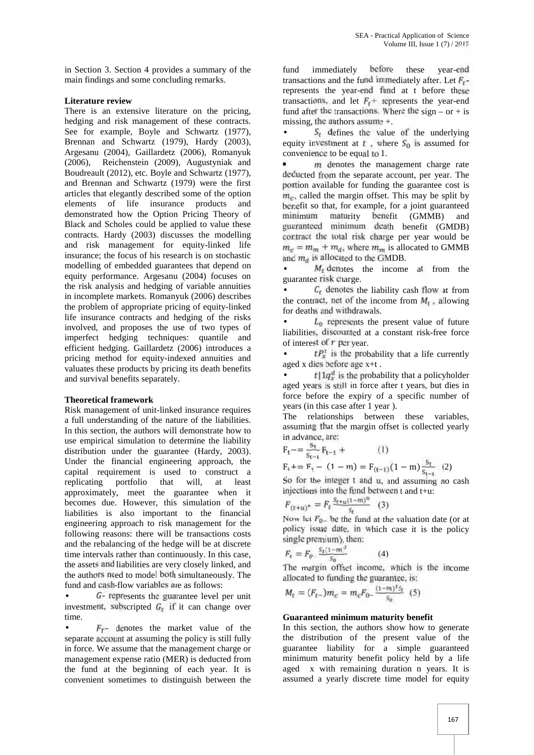in Section 3. Section 4 provides a summary of the main findings and some concluding remarks.

## **Literature review**

There is an extensive literature on the pricing, hedging and risk management of these contracts. See for example, Boyle and Schwartz (1977), Brennan and Schwartz (1979), Hardy (2003), Argesanu (2004), Gaillardetz (2006), Romanyuk (2006), Reichenstein (2009), Augustyniak and Boudreault (2012), etc. Boyle and Schwartz (1977), and Brennan and Schwartz (1979) were the first articles that elegantly described some of the option elements of life insurance products and demonstrated how the Option Pricing Theory of Black and Scholes could be applied to value these contracts. Hardy (2003) discusses the modelling and risk management for equity-linked life insurance; the focus of his research is on stochastic modelling of embedded guarantees that depend on equity performance. Argesanu (2004) focuses on the risk analysis and hedging of variable annuities in incomplete markets. Romanyuk (2006) describes the problem of appropriate pricing of equity-linked life insurance contracts and hedging of the risks involved, and proposes the use of two types of imperfect hedging techniques: quantile and efficient hedging. Gaillardetz (2006) introduces a pricing method for equity-indexed annuities and valuates these products by pricing its death benefits and survival benefits separately.

#### **Theoretical framework**

Risk management of unit-linked insurance requires a full understanding of the nature of the liabilities. In this section, the authors will demonstrate how to use empirical simulation to determine the liability distribution under the guarantee (Hardy, 2003). Under the financial engineering approach, the capital requirement is used to construct a replicating portfolio that will, at least approximately, meet the guarantee when it becomes due. However, this simulation of the liabilities is also important to the financial engineering approach to risk management for the following reasons: there will be transactions costs and the rebalancing of the hedge will be at discrete time intervals rather than continuously. In this case, the assets and liabilities are very closely linked, and the authors need to model both simultaneously. The fund and cash-flow variables are as follows:

 - represents the guarantee level per unit investment, subscripted  $G_t$  if it can change over time.

 $F_T$ - denotes the market value of the separate account at assuming the policy is still fully in force. We assume that the management charge or management expense ratio (MER) is deducted from the fund at the beginning of each year. It is convenient sometimes to distinguish between the

fund immediately before these year-end transactions and the fund immediately after. Let  $F_{r-}$ represents the year-end fund at t before these transactions, and let  $F_t$ + represents the year-end fund after the transactions. Where the sign  $-$  or  $+$  is missing, the authors assume +.

 $S_t$  defines the value of the underlying equity investment at  $t$ , where  $S_0$  is assumed for convenience to be equal to 1.

m denotes the management charge rate deducted from the separate account, per year. The portion available for funding the guarantee cost is  $m<sub>c</sub>$ , called the margin offset. This may be split by benefit so that, for example, for a joint guaranteed minimum maturity benefit (GMMB) and guaranteed minimum death benefit (GMDB) contract the total risk charge per year would be  $m_c = m_m + m_d$ , where  $m_m$  is allocated to GMMB and  $m_d$  is allocated to the GMDB.

 $M_t$  denotes the income at from the guarantee risk charge.

 $C_t$  denotes the liability cash flow at from the contract, net of the income from  $M_t$ , allowing for deaths and withdrawals.

 $L_0$  represents the present value of future liabilities, discounted at a constant risk-free force of interest of  $r$  per year.

 $tP_x^{\dagger}$  is the probability that a life currently aged x dies before age  $x+t$ .

 $t | 1 q_x^d$  is the probability that a policyholder aged years is still in force after t years, but dies in force before the expiry of a specific number of years (in this case after 1 year ).

The relationships between these variables, assuming that the margin offset is collected yearly in advance, are:

$$
F_t = \frac{s_t}{s_{t-1}} F_{t-1} + \qquad (1)
$$

 $F_t = F_t - (1 - m) = F_{(t-1)}(1 - m) \frac{s_t}{s_{t-1}}$  (2)

So for the integer t and u, and assuming no cash injections into the fund between  $t$  and  $t+u$ :

$$
F_{(t+u)^+} = F_t \frac{s_{t+u}(1-m)^u}{s_t} \quad (3)
$$

Now let  $F_{0-}$  be the fund at the valuation date (or at policy issue date, in which case it is the policy single premium), then:

$$
F_{e} = F_{\rho} - \frac{S_{t}(1-m)^{t}}{S_{0}}
$$
 (4)

The margin offset income, which is the income allocated to funding the guarantee, is:

$$
M_t = (F_{t-})m_c = m_c F_0 - \frac{(1-m)^t s_t}{s_0} (5)
$$

#### **Guaranteed minimum maturity benefit**

In this section, the authors show how to generate the distribution of the present value of the guarantee liability for a simple guaranteed minimum maturity benefit policy held by a life aged x with remaining duration n years. It is assumed a yearly discrete time model for equity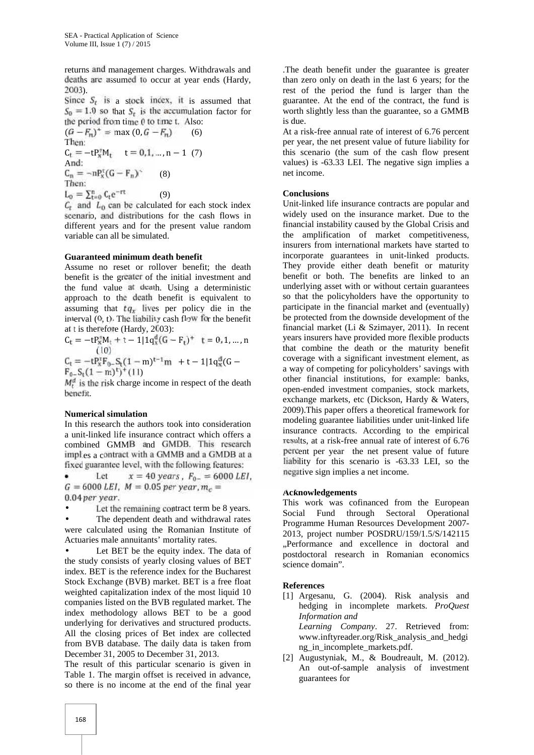returns and management charges. Withdrawals and deaths are assumed to occur at year ends (Hardy, 2003).

Since  $S_t$  is a stock index, it is assumed that  $S_0 = 1.0$  so that  $S_t$  is the accumulation factor for the period from time 0 to time t. Also:

$$
(G - F_n)^+ = \max(0, G - F_n)
$$
(6)  
\nThen  
\n $C_t = -tP_n^{\tau}M_t$   $t = 0, 1, ..., n - 1$  (7)  
\nAnd:  
\n $C_n = -nP_x^t(G - F_n)^+$  (8)  
\nThen:  
\n $L_0 = \sum_{t=0}^n C_t e^{-rt}$  (9)

and  $L_0$  can be calculated for each stock index scenario, and distributions for the cash flows in different years and for the present value random variable can all be simulated.

#### **Guaranteed minimum death benefit**

Assume no reset or rollover benefit; the death benefit is the greater of the initial investment and the fund value at death. Using a deterministic approach to the death benefit is equivalent to assuming that  $tq_x$  lives per policy die in the interval (0, t). The liability cash flow for the benefit at t is therefore (Hardy, 2003):

 $C_t = -tF_x^*M_t + t - 11q_x^d(G - F_t)^+$   $t = 0, 1, ..., n$ (10)  $C_t = -tP_X^{\tau}F_0 - S_t(1-m)^{t-1}m + t - 1|1q_X^{\tau}G -$ 

 $F_0 - S_t (1 - m)^{t}$ <sup>+</sup> (11)

 $M_t^d$  is the risk charge income in respect of the death benefit.

#### **Numerical simulation**

In this research the authors took into consideration a unit-linked life insurance contract which offers a combined GMMB and GMDB. This research implies a contract with a GMMB and a GMDB at a fixed guarantee level, with the following features:

Let  $x = 40 \text{ years}$ ,  $F_{0-} = 6000 \text{ LEI}$ ,  $G = 6000$  *LEI*,  $M = 0.05$  *per year*,  $m_c = 0.04$  *per year*.

Let the remaining contract term be 8 years.

 The dependent death and withdrawal rates were calculated using the Romanian Institute of Actuaries male annuitants' mortality rates.

 Let BET be the equity index. The data of the study consists of yearly closing values of BET index. BET is the reference index for the Bucharest Stock Exchange (BVB) market. BET is a free float weighted capitalization index of the most liquid 10 companies listed on the BVB regulated market. The index methodology allows BET to be a good underlying for derivatives and structured products. All the closing prices of Bet index are collected from BVB database. The daily data is taken from December 31, 2005 to December 31, 2013.

The result of this particular scenario is given in Table 1. The margin offset is received in advance, so there is no income at the end of the final year

.The death benefit under the guarantee is greater than zero only on death in the last 6 years; for the rest of the period the fund is larger than the guarantee. At the end of the contract, the fund is worth slightly less than the guarantee, so a GMMB is due.

At a risk-free annual rate of interest of 6.76 percent per year, the net present value of future liability for this scenario (the sum of the cash flow present values) is -63.33 LEI. The negative sign implies a net income.

#### **Conclusions**

Unit-linked life insurance contracts are popular and widely used on the insurance market. Due to the financial instability caused by the Global Crisis and the amplification of market competitiveness, insurers from international markets have started to incorporate guarantees in unit-linked products. They provide either death benefit or maturity benefit or both. The benefits are linked to an underlying asset with or without certain guarantees so that the policyholders have the opportunity to participate in the financial market and (eventually) be protected from the downside development of the financial market (Li & Szimayer, 2011). In recent years insurers have provided more flexible products that combine the death or the maturity benefit coverage with a significant investment element, as a way of competing for policyholders' savings with other financial institutions, for example: banks, open-ended investment companies, stock markets, exchange markets, etc (Dickson, Hardy & Waters, 2009).This paper offers a theoretical framework for modeling guarantee liabilities under unit-linked life insurance contracts. According to the empirical results, at a risk-free annual rate of interest of 6.76 percent per year the net present value of future liability for this scenario is -63.33 LEI, so the negative sign implies a net income.

#### **Acknowledgements**

This work was cofinanced from the European Social Fund through Sectoral Operational Programme Human Resources Development 2007- 2013, project number POSDRU/159/1.5/S/142115 "Performance and excellence in doctoral and postdoctoral research in Romanian economics science domain".

#### **References**

- [1] Argesanu, G. (2004). Risk analysis and hedging in incomplete markets. *ProQuest Information and Learning Company*. 27. Retrieved from: www.inftyreader.org/Risk\_analysis\_and\_hedgi ng\_in\_incomplete\_markets.pdf.
- [2] Augustyniak, M., & Boudreault, M. (2012). An out-of-sample analysis of investment guarantees for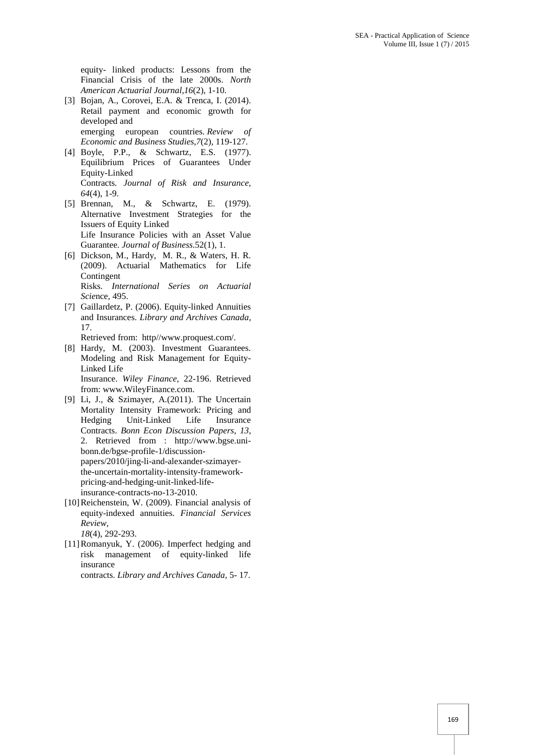equity- linked products: Lessons from the Financial Crisis of the late 2000s. *North American Actuarial Journal*,*16*(2), 1-10.

- [3] Bojan, A., Corovei, E.A. & Trenca, I. (2014). Retail payment and economic growth for developed and emerging european countries. *Review of Economic and Business Studies,7*(2), 119-127.
- [4] Boyle, P.P., & Schwartz, E.S. (1977). Equilibrium Prices of Guarantees Under Equity-Linked Contracts*. Journal of Risk and Insurance, 64*(4), 1-9.
- [5] Brennan, M., & Schwartz, E. (1979). Alternative Investment Strategies for the Issuers of Equity Linked Life Insurance Policies with an Asset Value Guarantee. *Journal of Business*.52(1), 1.
- [6] Dickson, M., Hardy, M. R., & Waters, H. R. (2009). Actuarial Mathematics for Life **Contingent** Risks. *International Series on Actuarial Scie*nce, 495.
- [7] Gaillardetz, P. (2006). Equity-linked Annuities and Insurances. *Library and Archives Canada,* 17.

Retrieved from: http//www.proquest.com/.

- [8] Hardy, M. (2003). Investment Guarantees. Modeling and Risk Management for Equity- Linked Life Insurance. *Wiley Finance*, 22-196. Retrieved from: www.WileyFinance.com.
- [9] Li, J., & Szimayer, A.(2011). The Uncertain Mortality Intensity Framework: Pricing and Hedging Unit-Linked Life Insurance Contracts. *Bonn Econ Discussion Papers*, *13*, 2. Retrieved from : http://www.bgse.uni bonn.de/bgse-profile-1/discussion papers/2010/jing-li-and-alexander-szimayerthe-uncertain-mortality-intensity-framework pricing-and-hedging-unit-linked-lifeinsurance-contracts-no-13-2010.
- [10] Reichenstein, W. (2009). Financial analysis of equity-indexed annuities. *Financial Services Review*, *18*(4), 292-293.
- [11]Romanyuk, Y. (2006). Imperfect hedging and risk management of equity-linked life insurance
	- contracts. *Library and Archives Canada,* 5- 17.